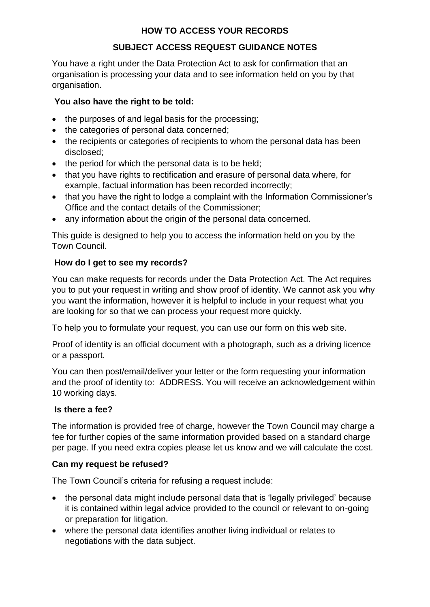## **HOW TO ACCESS YOUR RECORDS**

# **SUBJECT ACCESS REQUEST GUIDANCE NOTES**

You have a right under the Data Protection Act to ask for confirmation that an organisation is processing your data and to see information held on you by that organisation.

## **You also have the right to be told:**

- the purposes of and legal basis for the processing;
- the categories of personal data concerned;
- the recipients or categories of recipients to whom the personal data has been disclosed;
- the period for which the personal data is to be held;
- that you have rights to rectification and erasure of personal data where, for example, factual information has been recorded incorrectly;
- that you have the right to lodge a complaint with the Information Commissioner's Office and the contact details of the Commissioner;
- any information about the origin of the personal data concerned.

This guide is designed to help you to access the information held on you by the Town Council.

## **How do I get to see my records?**

You can make requests for records under the Data Protection Act. The Act requires you to put your request in writing and show proof of identity. We cannot ask you why you want the information, however it is helpful to include in your request what you are looking for so that we can process your request more quickly.

To help you to formulate your request, you can use our form on this web site.

Proof of identity is an official document with a photograph, such as a driving licence or a passport.

You can then post/email/deliver your letter or the form requesting your information and the proof of identity to: ADDRESS. You will receive an acknowledgement within 10 working days.

## **Is there a fee?**

The information is provided free of charge, however the Town Council may charge a fee for further copies of the same information provided based on a standard charge per page. If you need extra copies please let us know and we will calculate the cost.

## **Can my request be refused?**

The Town Council's criteria for refusing a request include:

- the personal data might include personal data that is 'legally privileged' because it is contained within legal advice provided to the council or relevant to on-going or preparation for litigation.
- where the personal data identifies another living individual or relates to negotiations with the data subject.